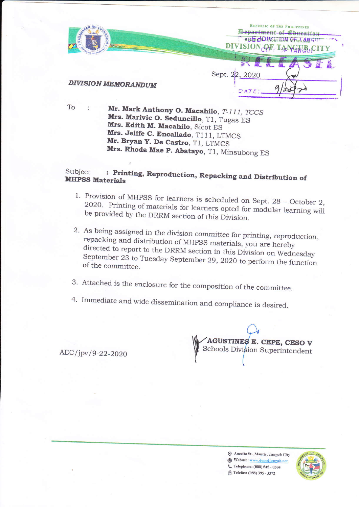

To

Mr. Mark Anthony O. Macahilo, T-111, TCCS Mrs. Marivic O. Seduncillo, T1, Tugas ES Mrs. Edith M. Macahilo, Sicot ES Mrs. Jelife C. Encallado, T111, LTMCS Mr. Bryan Y. De Castro, T1, LTMCS Mrs. Rhoda Mae P. Abatayo, T1, Minsubong ES

## Subject : Printing, Reproduction, Repacking and Distribution of **MHPSS Materials**

- 1. Provision of MHPSS for learners is scheduled on Sept. 28 October 2, 2020. Printing of materials for learners opted for modular learning will be provided by the DRRM section of this Division.
- 2. As being assigned in the division committee for printing, reproduction, repacking and distribution of MHPSS materials, you are hereby directed to report to the DRRM section in this Division on Wednesday September 23 to Tuesday September 29, 2020 to perform the function of the committee.
- 3. Attached is the enclosure for the composition of the committee.
- 4. Immediate and wide dissemination and compliance is desired.

AEC/jpv/9-22-2020

AGUSTINES E. CEPE, CESO V Schools Division Superintendent